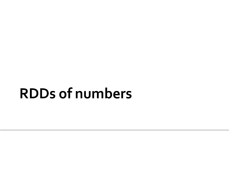#### **RDDs of numbers**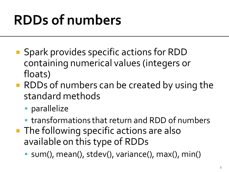### **RDDs of numbers**

- Spark provides specific actions for RDD containing numerical values (integers or floats)
- **RDDs of numbers can be created by using the** standard methods
	- **parallelize**
	- transformations that return and RDD of numbers
- **The following specific actions are also** available on this type of RDDs
	- sum(), mean(), stdev(), variance(), max(), min()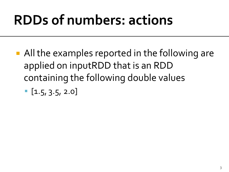### **RDDs of numbers: actions**

- All the examples reported in the following are applied on inputRDD that is an RDD containing the following double values
	- $\blacksquare$  [1.5, 3.5, 2.0]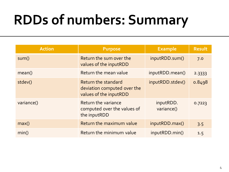### **RDDs of numbers: Summary**

| <b>Action</b> | <b>Purpose</b>                                                               | <b>Example</b>          | <b>Result</b> |
|---------------|------------------------------------------------------------------------------|-------------------------|---------------|
| sum()         | Return the sum over the<br>values of the inputRDD                            | inputRDD.sum()          | 7.0           |
| mean()        | Return the mean value                                                        | inputRDD.mean()         | 2.3333        |
| stdev()       | Return the standard<br>deviation computed over the<br>values of the inputRDD | inputRDD.stdev()        | 0.8498        |
| variance()    | Return the variance<br>computed over the values of<br>the inputRDD           | inputRDD.<br>variance() | 0.7223        |
| max()         | Return the maximum value                                                     | inputRDD.max()          | 3.5           |
| min()         | Return the minimum value                                                     | inputRDD.min()          | 1.5           |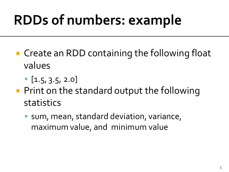# **RDDs of numbers: example**

- Create an RDD containing the following float values
	- $\blacksquare$  [1.5, 3.5, 2.0]
- **Print on the standard output the following** statistics
	- sum, mean, standard deviation, variance, maximum value, and minimum value